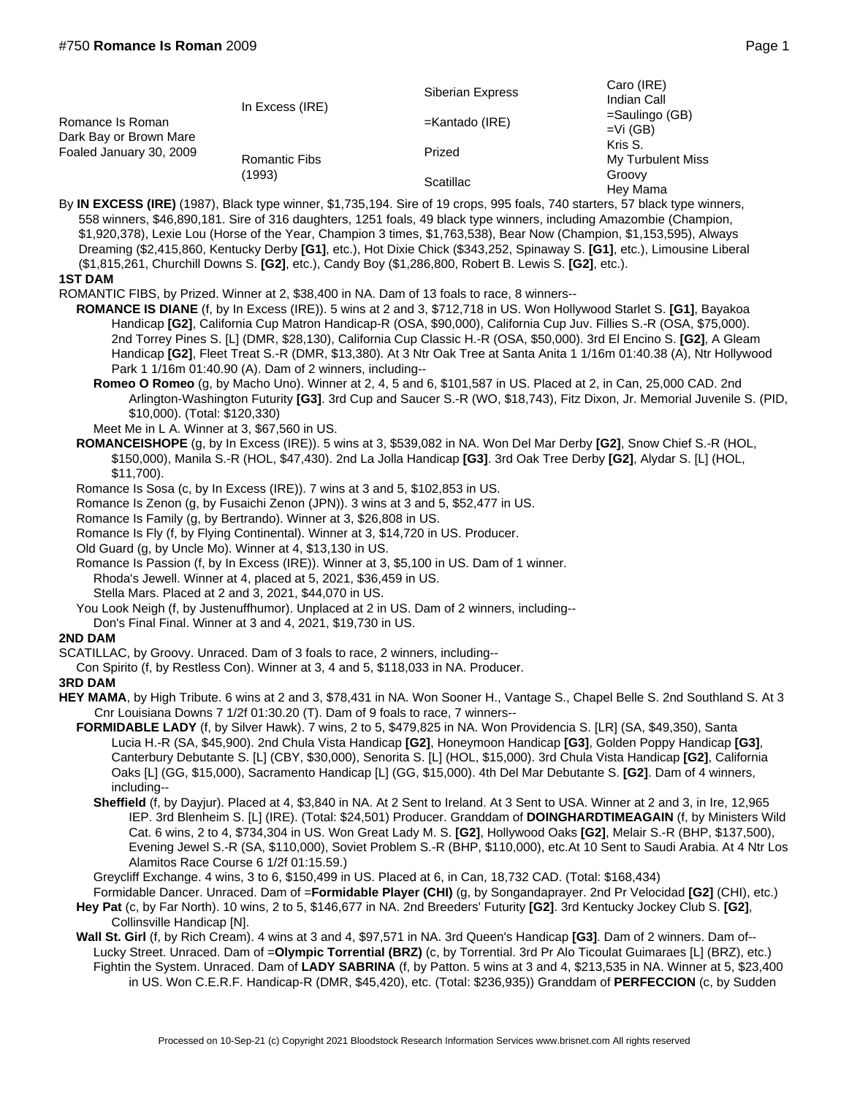| Romance Is Roman<br>Dark Bay or Brown Mare<br>Foaled January 30, 2009 | In Excess (IRE)                | Siberian Express  | Caro (IRE)<br>Indian Call<br>$=$ Saulingo (GB)<br>$=Vi(GB)$<br>Kris S.<br>My Turbulent Miss<br>Groovy<br>Hey Mama |
|-----------------------------------------------------------------------|--------------------------------|-------------------|-------------------------------------------------------------------------------------------------------------------|
|                                                                       |                                | $=$ Kantado (IRE) |                                                                                                                   |
|                                                                       | <b>Romantic Fibs</b><br>(1993) | Prized            |                                                                                                                   |
|                                                                       |                                | Scatillac         |                                                                                                                   |

By **IN EXCESS (IRE)** (1987), Black type winner, \$1,735,194. Sire of 19 crops, 995 foals, 740 starters, 57 black type winners, 558 winners, \$46,890,181. Sire of 316 daughters, 1251 foals, 49 black type winners, including Amazombie (Champion, \$1,920,378), Lexie Lou (Horse of the Year, Champion 3 times, \$1,763,538), Bear Now (Champion, \$1,153,595), Always Dreaming (\$2,415,860, Kentucky Derby **[G1]**, etc.), Hot Dixie Chick (\$343,252, Spinaway S. **[G1]**, etc.), Limousine Liberal (\$1,815,261, Churchill Downs S. **[G2]**, etc.), Candy Boy (\$1,286,800, Robert B. Lewis S. **[G2]**, etc.). **1ST DAM**

ROMANTIC FIBS, by Prized. Winner at 2, \$38,400 in NA. Dam of 13 foals to race, 8 winners--

- **ROMANCE IS DIANE** (f, by In Excess (IRE)). 5 wins at 2 and 3, \$712,718 in US. Won Hollywood Starlet S. **[G1]**, Bayakoa Handicap **[G2]**, California Cup Matron Handicap-R (OSA, \$90,000), California Cup Juv. Fillies S.-R (OSA, \$75,000). 2nd Torrey Pines S. [L] (DMR, \$28,130), California Cup Classic H.-R (OSA, \$50,000). 3rd El Encino S. **[G2]**, A Gleam Handicap **[G2]**, Fleet Treat S.-R (DMR, \$13,380). At 3 Ntr Oak Tree at Santa Anita 1 1/16m 01:40.38 (A), Ntr Hollywood Park 1 1/16m 01:40.90 (A). Dam of 2 winners, including--
	- **Romeo O Romeo** (g, by Macho Uno). Winner at 2, 4, 5 and 6, \$101,587 in US. Placed at 2, in Can, 25,000 CAD. 2nd Arlington-Washington Futurity **[G3]**. 3rd Cup and Saucer S.-R (WO, \$18,743), Fitz Dixon, Jr. Memorial Juvenile S. (PID, \$10,000). (Total: \$120,330)

Meet Me in L A. Winner at 3, \$67,560 in US.

- **ROMANCEISHOPE** (g, by In Excess (IRE)). 5 wins at 3, \$539,082 in NA. Won Del Mar Derby **[G2]**, Snow Chief S.-R (HOL, \$150,000), Manila S.-R (HOL, \$47,430). 2nd La Jolla Handicap **[G3]**. 3rd Oak Tree Derby **[G2]**, Alydar S. [L] (HOL, \$11,700).
- Romance Is Sosa (c, by In Excess (IRE)). 7 wins at 3 and 5, \$102,853 in US.
- Romance Is Zenon (g, by Fusaichi Zenon (JPN)). 3 wins at 3 and 5, \$52,477 in US.

Romance Is Family (g, by Bertrando). Winner at 3, \$26,808 in US.

Romance Is Fly (f, by Flying Continental). Winner at 3, \$14,720 in US. Producer.

Old Guard (g, by Uncle Mo). Winner at 4, \$13,130 in US.

Romance Is Passion (f, by In Excess (IRE)). Winner at 3, \$5,100 in US. Dam of 1 winner. Rhoda's Jewell. Winner at 4, placed at 5, 2021, \$36,459 in US.

Stella Mars. Placed at 2 and 3, 2021, \$44,070 in US.

You Look Neigh (f, by Justenuffhumor). Unplaced at 2 in US. Dam of 2 winners, including--

Don's Final Final. Winner at 3 and 4, 2021, \$19,730 in US.

## **2ND DAM**

SCATILLAC, by Groovy. Unraced. Dam of 3 foals to race, 2 winners, including--

Con Spirito (f, by Restless Con). Winner at 3, 4 and 5, \$118,033 in NA. Producer.

## **3RD DAM**

- **HEY MAMA**, by High Tribute. 6 wins at 2 and 3, \$78,431 in NA. Won Sooner H., Vantage S., Chapel Belle S. 2nd Southland S. At 3 Cnr Louisiana Downs 7 1/2f 01:30.20 (T). Dam of 9 foals to race, 7 winners--
	- **FORMIDABLE LADY** (f, by Silver Hawk). 7 wins, 2 to 5, \$479,825 in NA. Won Providencia S. [LR] (SA, \$49,350), Santa Lucia H.-R (SA, \$45,900). 2nd Chula Vista Handicap **[G2]**, Honeymoon Handicap **[G3]**, Golden Poppy Handicap **[G3]**, Canterbury Debutante S. [L] (CBY, \$30,000), Senorita S. [L] (HOL, \$15,000). 3rd Chula Vista Handicap **[G2]**, California Oaks [L] (GG, \$15,000), Sacramento Handicap [L] (GG, \$15,000). 4th Del Mar Debutante S. **[G2]**. Dam of 4 winners, including--
		- **Sheffield** (f, by Dayjur). Placed at 4, \$3,840 in NA. At 2 Sent to Ireland. At 3 Sent to USA. Winner at 2 and 3, in Ire, 12,965 IEP. 3rd Blenheim S. [L] (IRE). (Total: \$24,501) Producer. Granddam of **DOINGHARDTIMEAGAIN** (f, by Ministers Wild Cat. 6 wins, 2 to 4, \$734,304 in US. Won Great Lady M. S. **[G2]**, Hollywood Oaks **[G2]**, Melair S.-R (BHP, \$137,500), Evening Jewel S.-R (SA, \$110,000), Soviet Problem S.-R (BHP, \$110,000), etc.At 10 Sent to Saudi Arabia. At 4 Ntr Los Alamitos Race Course 6 1/2f 01:15.59.)

Greycliff Exchange. 4 wins, 3 to 6, \$150,499 in US. Placed at 6, in Can, 18,732 CAD. (Total: \$168,434)

- Formidable Dancer. Unraced. Dam of =**Formidable Player (CHI)** (g, by Songandaprayer. 2nd Pr Velocidad **[G2]** (CHI), etc.) **Hey Pat** (c, by Far North). 10 wins, 2 to 5, \$146,677 in NA. 2nd Breeders' Futurity **[G2]**. 3rd Kentucky Jockey Club S. **[G2]**,
- Collinsville Handicap [N].
- **Wall St. Girl** (f, by Rich Cream). 4 wins at 3 and 4, \$97,571 in NA. 3rd Queen's Handicap **[G3]**. Dam of 2 winners. Dam of-- Lucky Street. Unraced. Dam of =**Olympic Torrential (BRZ)** (c, by Torrential. 3rd Pr Alo Ticoulat Guimaraes [L] (BRZ), etc.) Fightin the System. Unraced. Dam of **LADY SABRINA** (f, by Patton. 5 wins at 3 and 4, \$213,535 in NA. Winner at 5, \$23,400 in US. Won C.E.R.F. Handicap-R (DMR, \$45,420), etc. (Total: \$236,935)) Granddam of **PERFECCION** (c, by Sudden